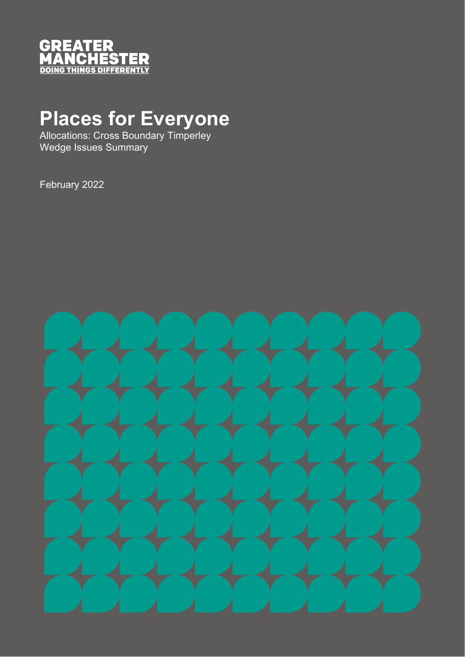

# **Places for Everyone**

Allocations: Cross Boundary Timperley Wedge Issues Summary

February 2022

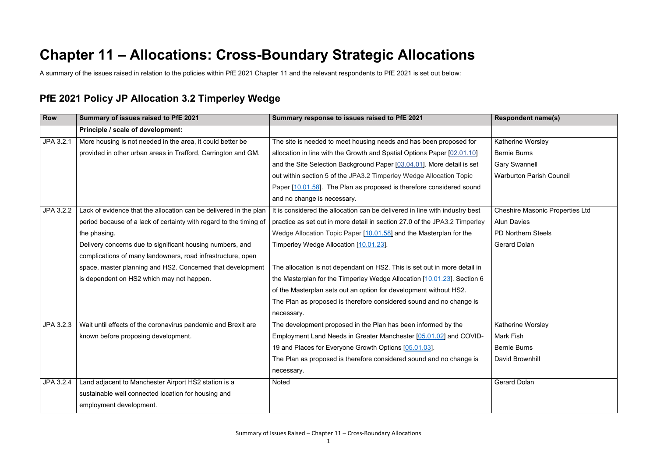# **Chapter 11 – Allocations: Cross-Boundary Strategic Allocations**

A summary of the issues raised in relation to the policies within PfE 2021 Chapter 11 and the relevant respondents to PfE 2021 is set out below:

# **PfE 2021 Policy JP Allocation 3.2 Timperley Wedge**

Katherine Worsley

Bernie Burns

Gary Swannell

Warburton Parish Council

| <b>Row</b> | Summary of issues raised to PfE 2021                               | Summary response to issues raised to PfE 2021                               |  |
|------------|--------------------------------------------------------------------|-----------------------------------------------------------------------------|--|
|            | Principle / scale of development:                                  |                                                                             |  |
| JPA 3.2.1  | More housing is not needed in the area, it could better be         | The site is needed to meet housing needs and has been proposed for          |  |
|            | provided in other urban areas in Trafford, Carrington and GM.      | allocation in line with the Growth and Spatial Options Paper [02.01.10]     |  |
|            |                                                                    | and the Site Selection Background Paper [03.04.01]. More detail is set      |  |
|            |                                                                    | out within section 5 of the JPA3.2 Timperley Wedge Allocation Topic         |  |
|            |                                                                    | Paper [10.01.58]. The Plan as proposed is therefore considered sound        |  |
|            |                                                                    | and no change is necessary.                                                 |  |
| JPA 3.2.2  | Lack of evidence that the allocation can be delivered in the plan  | It is considered the allocation can be delivered in line with industry best |  |
|            | period because of a lack of certainty with regard to the timing of | practice as set out in more detail in section 27.0 of the JPA3.2 Timperley  |  |
|            | the phasing.                                                       | Wedge Allocation Topic Paper [10.01.58] and the Masterplan for the          |  |
|            | Delivery concerns due to significant housing numbers, and          | Timperley Wedge Allocation [10.01.23].                                      |  |
|            | complications of many landowners, road infrastructure, open        |                                                                             |  |
|            | space, master planning and HS2. Concerned that development         | The allocation is not dependant on HS2. This is set out in more detail in   |  |
|            | is dependent on HS2 which may not happen.                          | the Masterplan for the Timperley Wedge Allocation [10.01.23]. Section 6     |  |
|            |                                                                    | of the Masterplan sets out an option for development without HS2.           |  |
|            |                                                                    | The Plan as proposed is therefore considered sound and no change is         |  |
|            |                                                                    | necessary.                                                                  |  |
| JPA 3.2.3  | Wait until effects of the coronavirus pandemic and Brexit are      | The development proposed in the Plan has been informed by the               |  |
|            | known before proposing development.                                | Employment Land Needs in Greater Manchester [05.01.02] and COVID-           |  |
|            |                                                                    | 19 and Places for Everyone Growth Options [05.01.03].                       |  |
|            |                                                                    | The Plan as proposed is therefore considered sound and no change is         |  |
|            |                                                                    | necessary.                                                                  |  |
| JPA 3.2.4  | Land adjacent to Manchester Airport HS2 station is a               | <b>Noted</b>                                                                |  |
|            | sustainable well connected location for housing and                |                                                                             |  |
|            | employment development.                                            |                                                                             |  |

Cheshire Masonic Properties Ltd

Alun Davies

PD Northern Steels

Gerard Dolan

Katherine Worsley Mark Fish Bernie Burns David Brownhill

Gerard Dolan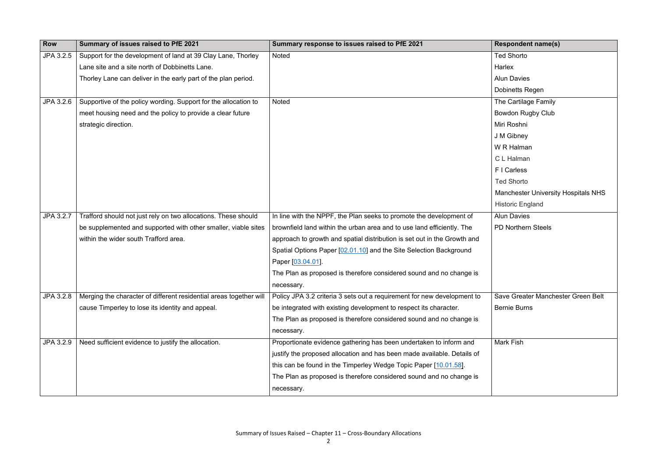| <b>Row</b> | Summary of issues raised to PfE 2021                               | Summary response to issues raised to PfE 2021                            | <b>Respondent name(s)</b>    |
|------------|--------------------------------------------------------------------|--------------------------------------------------------------------------|------------------------------|
| JPA 3.2.5  | Support for the development of land at 39 Clay Lane, Thorley       | <b>Noted</b>                                                             | <b>Ted Shorto</b>            |
|            | Lane site and a site north of Dobbinetts Lane.                     |                                                                          | Harlex                       |
|            | Thorley Lane can deliver in the early part of the plan period.     |                                                                          | <b>Alun Davies</b>           |
|            |                                                                    |                                                                          | <b>Dobinetts Regen</b>       |
| JPA 3.2.6  | Supportive of the policy wording. Support for the allocation to    | Noted                                                                    | The Cartilage Family         |
|            | meet housing need and the policy to provide a clear future         |                                                                          | <b>Bowdon Rugby Club</b>     |
|            | strategic direction.                                               |                                                                          | Miri Roshni                  |
|            |                                                                    |                                                                          | J M Gibney                   |
|            |                                                                    |                                                                          | W R Halman                   |
|            |                                                                    |                                                                          | C L Halman                   |
|            |                                                                    |                                                                          | F I Carless                  |
|            |                                                                    |                                                                          | <b>Ted Shorto</b>            |
|            |                                                                    |                                                                          | <b>Manchester University</b> |
|            |                                                                    |                                                                          | <b>Historic England</b>      |
| JPA 3.2.7  | Trafford should not just rely on two allocations. These should     | In line with the NPPF, the Plan seeks to promote the development of      | <b>Alun Davies</b>           |
|            | be supplemented and supported with other smaller, viable sites     | brownfield land within the urban area and to use land efficiently. The   | <b>PD Northern Steels</b>    |
|            | within the wider south Trafford area.                              | approach to growth and spatial distribution is set out in the Growth and |                              |
|            |                                                                    | Spatial Options Paper [02.01.10] and the Site Selection Background       |                              |
|            |                                                                    | Paper [03.04.01].                                                        |                              |
|            |                                                                    | The Plan as proposed is therefore considered sound and no change is      |                              |
|            |                                                                    | necessary.                                                               |                              |
| JPA 3.2.8  | Merging the character of different residential areas together will | Policy JPA 3.2 criteria 3 sets out a requirement for new development to  | <b>Save Greater Manche</b>   |
|            | cause Timperley to lose its identity and appeal.                   | be integrated with existing development to respect its character.        | <b>Bernie Burns</b>          |
|            |                                                                    | The Plan as proposed is therefore considered sound and no change is      |                              |
|            |                                                                    | necessary.                                                               |                              |
| JPA 3.2.9  | Need sufficient evidence to justify the allocation.                | Proportionate evidence gathering has been undertaken to inform and       | <b>Mark Fish</b>             |
|            |                                                                    | justify the proposed allocation and has been made available. Details of  |                              |
|            |                                                                    | this can be found in the Timperley Wedge Topic Paper [10.01.58].         |                              |
|            |                                                                    | The Plan as proposed is therefore considered sound and no change is      |                              |
|            |                                                                    | necessary.                                                               |                              |

| <b>Respondent name(s)</b>                  |
|--------------------------------------------|
| <b>Ted Shorto</b>                          |
| Harlex                                     |
| <b>Alun Davies</b>                         |
| <b>Dobinetts Regen</b>                     |
| The Cartilage Family                       |
| <b>Bowdon Rugby Club</b>                   |
| Miri Roshni                                |
| J M Gibney                                 |
| W R Halman                                 |
| C L Halman                                 |
| F I Carless                                |
| <b>Ted Shorto</b>                          |
| <b>Manchester University Hospitals NHS</b> |
| <b>Historic England</b>                    |
| <b>Alun Davies</b>                         |
| <b>PD Northern Steels</b>                  |
|                                            |
|                                            |
|                                            |
|                                            |
|                                            |
| Save Greater Manchester Green Belt         |
| <b>Bernie Burns</b>                        |
|                                            |
|                                            |
| <b>Mark Fish</b>                           |
|                                            |
|                                            |
|                                            |
|                                            |
|                                            |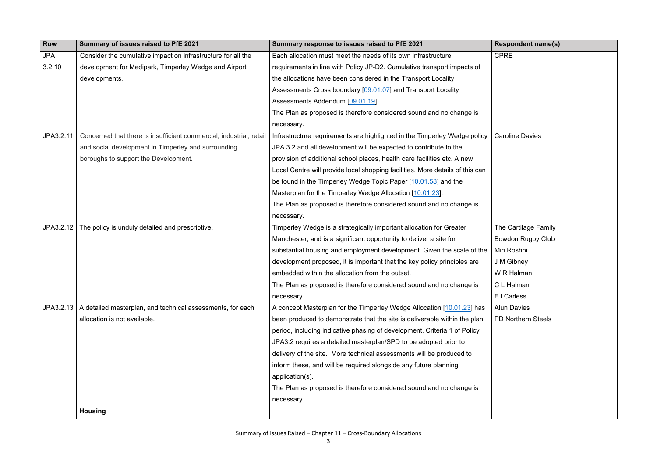## CPRE

Caroline Davies

| <b>Row</b> | Summary of issues raised to PfE 2021                                | Summary response to issues raised to PfE 2021                                 |  |
|------------|---------------------------------------------------------------------|-------------------------------------------------------------------------------|--|
| <b>JPA</b> | Consider the cumulative impact on infrastructure for all the        | Each allocation must meet the needs of its own infrastructure                 |  |
| 3.2.10     | development for Medipark, Timperley Wedge and Airport               | requirements in line with Policy JP-D2. Cumulative transport impacts of       |  |
|            | developments.                                                       | the allocations have been considered in the Transport Locality                |  |
|            |                                                                     | Assessments Cross boundary [09.01.07] and Transport Locality                  |  |
|            |                                                                     | Assessments Addendum [09.01.19].                                              |  |
|            |                                                                     | The Plan as proposed is therefore considered sound and no change is           |  |
|            |                                                                     | necessary.                                                                    |  |
| JPA3.2.11  | Concerned that there is insufficient commercial, industrial, retail | Infrastructure requirements are highlighted in the Timperley Wedge policy     |  |
|            | and social development in Timperley and surrounding                 | JPA 3.2 and all development will be expected to contribute to the             |  |
|            | boroughs to support the Development.                                | provision of additional school places, health care facilities etc. A new      |  |
|            |                                                                     | Local Centre will provide local shopping facilities. More details of this can |  |
|            |                                                                     | be found in the Timperley Wedge Topic Paper [10.01.58] and the                |  |
|            |                                                                     | Masterplan for the Timperley Wedge Allocation [10.01.23].                     |  |
|            |                                                                     | The Plan as proposed is therefore considered sound and no change is           |  |
|            |                                                                     | necessary.                                                                    |  |
| JPA3.2.12  | The policy is unduly detailed and prescriptive.                     | Timperley Wedge is a strategically important allocation for Greater           |  |
|            |                                                                     | Manchester, and is a significant opportunity to deliver a site for            |  |
|            |                                                                     | substantial housing and employment development. Given the scale of the        |  |
|            |                                                                     | development proposed, it is important that the key policy principles are      |  |
|            |                                                                     | embedded within the allocation from the outset.                               |  |
|            |                                                                     | The Plan as proposed is therefore considered sound and no change is           |  |
|            |                                                                     | necessary.                                                                    |  |
| JPA3.2.13  | A detailed masterplan, and technical assessments, for each          | A concept Masterplan for the Timperley Wedge Allocation [10.01.23] has        |  |
|            | allocation is not available.                                        | been produced to demonstrate that the site is deliverable within the plan     |  |
|            |                                                                     | period, including indicative phasing of development. Criteria 1 of Policy     |  |
|            |                                                                     | JPA3.2 requires a detailed masterplan/SPD to be adopted prior to              |  |
|            |                                                                     | delivery of the site. More technical assessments will be produced to          |  |
|            |                                                                     | inform these, and will be required alongside any future planning              |  |
|            |                                                                     | application(s).                                                               |  |
|            |                                                                     | The Plan as proposed is therefore considered sound and no change is           |  |
|            |                                                                     | necessary.                                                                    |  |
|            | <b>Housing</b>                                                      |                                                                               |  |

The Cartilage Family Bowdon Rugby Club Miri Roshni J M Gibney W R Halman

C L Halman

F I Carless

Alun Davies

PD Northern Steels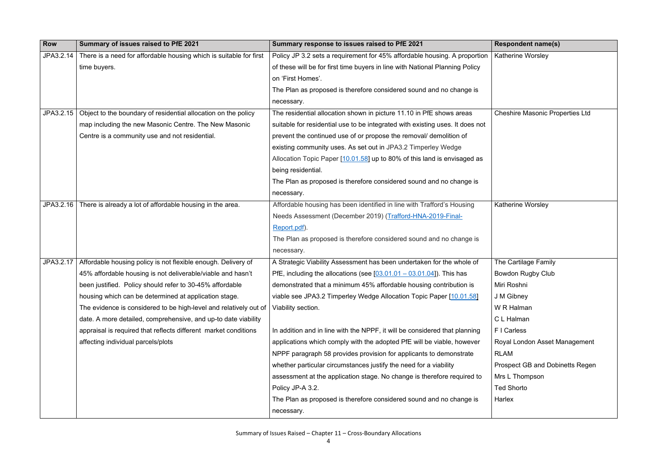Katherine Worsley

Cheshire Masonic Properties Ltd

| <b>Row</b> | Summary of issues raised to PfE 2021                               | Summary response to issues raised to PfE 2021                                 |  |
|------------|--------------------------------------------------------------------|-------------------------------------------------------------------------------|--|
| JPA3.2.14  | There is a need for affordable housing which is suitable for first | Policy JP 3.2 sets a requirement for 45% affordable housing. A proportion     |  |
|            | time buyers.                                                       | of these will be for first time buyers in line with National Planning Policy  |  |
|            |                                                                    | on 'First Homes'.                                                             |  |
|            |                                                                    | The Plan as proposed is therefore considered sound and no change is           |  |
|            |                                                                    | necessary.                                                                    |  |
| JPA3.2.15  | Object to the boundary of residential allocation on the policy     | The residential allocation shown in picture 11.10 in PfE shows areas          |  |
|            | map including the new Masonic Centre. The New Masonic              | suitable for residential use to be integrated with existing uses. It does not |  |
|            | Centre is a community use and not residential.                     | prevent the continued use of or propose the removal/ demolition of            |  |
|            |                                                                    | existing community uses. As set out in JPA3.2 Timperley Wedge                 |  |
|            |                                                                    | Allocation Topic Paper [10.01.58] up to 80% of this land is envisaged as      |  |
|            |                                                                    | being residential.                                                            |  |
|            |                                                                    | The Plan as proposed is therefore considered sound and no change is           |  |
|            |                                                                    | necessary.                                                                    |  |
| JPA3.2.16  | There is already a lot of affordable housing in the area.          | Affordable housing has been identified in line with Trafford's Housing        |  |
|            |                                                                    | Needs Assessment (December 2019) (Trafford-HNA-2019-Final-                    |  |
|            |                                                                    | Report.pdf).                                                                  |  |
|            |                                                                    | The Plan as proposed is therefore considered sound and no change is           |  |
|            |                                                                    | necessary.                                                                    |  |
| JPA3.2.17  | Affordable housing policy is not flexible enough. Delivery of      | A Strategic Viability Assessment has been undertaken for the whole of         |  |
|            | 45% affordable housing is not deliverable/viable and hasn't        | PfE, including the allocations (see $[03.01.01 - 03.01.04]$ ). This has       |  |
|            | been justified. Policy should refer to 30-45% affordable           | demonstrated that a minimum 45% affordable housing contribution is            |  |
|            | housing which can be determined at application stage.              | viable see JPA3.2 Timperley Wedge Allocation Topic Paper [10.01.58]           |  |
|            | The evidence is considered to be high-level and relatively out of  | Viability section.                                                            |  |
|            | date. A more detailed, comprehensive, and up-to date viability     |                                                                               |  |
|            | appraisal is required that reflects different market conditions    | In addition and in line with the NPPF, it will be considered that planning    |  |
|            | affecting individual parcels/plots                                 | applications which comply with the adopted PfE will be viable, however        |  |
|            |                                                                    | NPPF paragraph 58 provides provision for applicants to demonstrate            |  |
|            |                                                                    | whether particular circumstances justify the need for a viability             |  |
|            |                                                                    | assessment at the application stage. No change is therefore required to       |  |
|            |                                                                    | Policy JP-A 3.2.                                                              |  |
|            |                                                                    | The Plan as proposed is therefore considered sound and no change is           |  |
|            |                                                                    | necessary.                                                                    |  |
|            |                                                                    |                                                                               |  |

Katherine Worsley

The Cartilage Family Bowdon Rugby Club Miri Roshni J M Gibney W R Halman C L Halman F I Carless Royal London Asset Management RLAM Prospect GB and Dobinetts Regen Mrs L Thompson Ted Shorto Harlex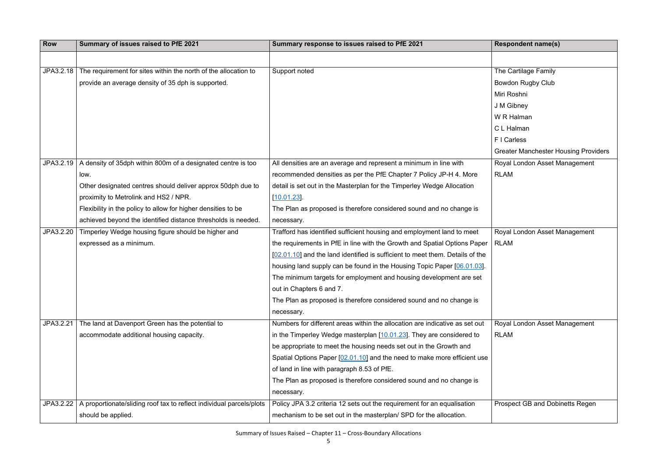| <b>Row</b> | Summary of issues raised to PfE 2021                                 | Summary response to issues raised to PfE 2021                                 | <b>Respondent name(s)</b>   |
|------------|----------------------------------------------------------------------|-------------------------------------------------------------------------------|-----------------------------|
|            |                                                                      |                                                                               |                             |
| JPA3.2.18  | The requirement for sites within the north of the allocation to      | Support noted                                                                 | The Cartilage Family        |
|            | provide an average density of 35 dph is supported.                   |                                                                               | <b>Bowdon Rugby Club</b>    |
|            |                                                                      |                                                                               | Miri Roshni                 |
|            |                                                                      |                                                                               | J M Gibney                  |
|            |                                                                      |                                                                               | W R Halman                  |
|            |                                                                      |                                                                               | C L Halman                  |
|            |                                                                      |                                                                               | F I Carless                 |
|            |                                                                      |                                                                               | <b>Greater Manchester H</b> |
| JPA3.2.19  | A density of 35dph within 800m of a designated centre is too         | All densities are an average and represent a minimum in line with             | Royal London Asset M        |
|            | low.                                                                 | recommended densities as per the PfE Chapter 7 Policy JP-H 4. More            | <b>RLAM</b>                 |
|            | Other designated centres should deliver approx 50dph due to          | detail is set out in the Masterplan for the Timperley Wedge Allocation        |                             |
|            | proximity to Metrolink and HS2 / NPR.                                | [10.01.23]                                                                    |                             |
|            | Flexibility in the policy to allow for higher densities to be        | The Plan as proposed is therefore considered sound and no change is           |                             |
|            | achieved beyond the identified distance thresholds is needed.        | necessary.                                                                    |                             |
| JPA3.2.20  | Timperley Wedge housing figure should be higher and                  | Trafford has identified sufficient housing and employment land to meet        | Royal London Asset M        |
|            | expressed as a minimum.                                              | the requirements in PfE in line with the Growth and Spatial Options Paper     | <b>RLAM</b>                 |
|            |                                                                      | [02.01.10] and the land identified is sufficient to meet them. Details of the |                             |
|            |                                                                      | housing land supply can be found in the Housing Topic Paper [06.01.03].       |                             |
|            |                                                                      | The minimum targets for employment and housing development are set            |                             |
|            |                                                                      | out in Chapters 6 and 7.                                                      |                             |
|            |                                                                      | The Plan as proposed is therefore considered sound and no change is           |                             |
|            |                                                                      | necessary.                                                                    |                             |
| JPA3.2.21  | The land at Davenport Green has the potential to                     | Numbers for different areas within the allocation are indicative as set out   | Royal London Asset M        |
|            | accommodate additional housing capacity.                             | in the Timperley Wedge masterplan [10.01.23]. They are considered to          | <b>RLAM</b>                 |
|            |                                                                      | be appropriate to meet the housing needs set out in the Growth and            |                             |
|            |                                                                      | Spatial Options Paper [02.01.10] and the need to make more efficient use      |                             |
|            |                                                                      | of land in line with paragraph 8.53 of PfE.                                   |                             |
|            |                                                                      | The Plan as proposed is therefore considered sound and no change is           |                             |
|            |                                                                      | necessary.                                                                    |                             |
| JPA3.2.22  | A proportionate/sliding roof tax to reflect individual parcels/plots | Policy JPA 3.2 criteria 12 sets out the requirement for an equalisation       | Prospect GB and Dob         |
|            | should be applied.                                                   | mechanism to be set out in the masterplan/ SPD for the allocation.            |                             |

| <b>Respondent name(s)</b>                   |
|---------------------------------------------|
|                                             |
| The Cartilage Family                        |
| <b>Bowdon Rugby Club</b>                    |
| Miri Roshni                                 |
| J M Gibney                                  |
| W R Halman                                  |
| C L Halman                                  |
| F I Carless                                 |
| <b>Greater Manchester Housing Providers</b> |
| Royal London Asset Management               |
| <b>RLAM</b>                                 |
|                                             |
|                                             |
|                                             |
|                                             |
| Royal London Asset Management               |
| <b>RLAM</b>                                 |
|                                             |
|                                             |
|                                             |
|                                             |
|                                             |
|                                             |
| Royal London Asset Management               |
| <b>RLAM</b>                                 |
|                                             |
|                                             |
|                                             |
|                                             |
|                                             |
| <b>Prospect GB and Dobinetts Regen</b>      |
|                                             |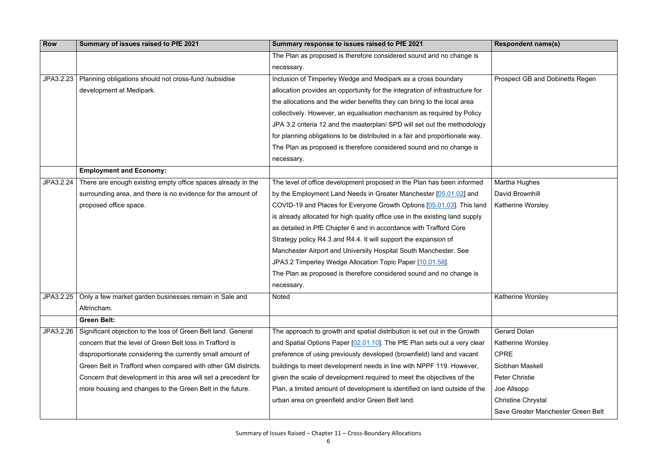Prospect GB and Dobinetts Regen

| <b>Row</b> | Summary of issues raised to PfE 2021                           | Summary response to issues raised to PfE 2021                                |
|------------|----------------------------------------------------------------|------------------------------------------------------------------------------|
|            |                                                                | The Plan as proposed is therefore considered sound and no change is          |
|            |                                                                | necessary.                                                                   |
| JPA3.2.23  | Planning obligations should not cross-fund /subsidise          | Inclusion of Timperley Wedge and Medipark as a cross boundary                |
|            | development at Medipark.                                       | allocation provides an opportunity for the integration of infrastructure for |
|            |                                                                | the allocations and the wider benefits they can bring to the local area      |
|            |                                                                | collectively. However, an equalisation mechanism as required by Policy       |
|            |                                                                | JPA 3.2 criteria 12 and the masterplan/ SPD will set out the methodology     |
|            |                                                                | for planning obligations to be distributed in a fair and proportionate way.  |
|            |                                                                | The Plan as proposed is therefore considered sound and no change is          |
|            |                                                                | necessary.                                                                   |
|            | <b>Employment and Economy:</b>                                 |                                                                              |
| JPA3.2.24  | There are enough existing empty office spaces already in the   | The level of office development proposed in the Plan has been informed       |
|            | surrounding area, and there is no evidence for the amount of   | by the Employment Land Needs in Greater Manchester [05.01.02] and            |
|            | proposed office space.                                         | COVID-19 and Places for Everyone Growth Options [05.01.03]. This land        |
|            |                                                                | is already allocated for high quality office use in the existing land supply |
|            |                                                                | as detailed in PfE Chapter 6 and in accordance with Trafford Core            |
|            |                                                                | Strategy policy R4.3 and R4.4. It will support the expansion of              |
|            |                                                                | Manchester Airport and University Hospital South Manchester. See             |
|            |                                                                | JPA3.2 Timperley Wedge Allocation Topic Paper [10.01.58].                    |
|            |                                                                | The Plan as proposed is therefore considered sound and no change is          |
|            |                                                                | necessary.                                                                   |
| JPA3.2.25  | Only a few market garden businesses remain in Sale and         | Noted                                                                        |
|            | Altrincham.                                                    |                                                                              |
|            | <b>Green Belt:</b>                                             |                                                                              |
| JPA3.2.26  | Significant objection to the loss of Green Belt land. General  | The approach to growth and spatial distribution is set out in the Growth     |
|            | concern that the level of Green Belt loss in Trafford is       | and Spatial Options Paper [02.01.10]. The PfE Plan sets out a very clear     |
|            | disproportionate considering the currently small amount of     | preference of using previously developed (brownfield) land and vacant        |
|            | Green Belt in Trafford when compared with other GM districts.  | buildings to meet development needs in line with NPPF 119. However,          |
|            | Concern that development in this area will set a precedent for | given the scale of development required to meet the objectives of the        |
|            | more housing and changes to the Green Belt in the future.      | Plan, a limited amount of development is identified on land outside of the   |
|            |                                                                | urban area on greenfield and/or Green Belt land.                             |
|            |                                                                |                                                                              |

# Martha Hughes David Brownhill Katherine Worsley

Katherine Worsley

- Gerard Dolan
- Katherine Worsley
- CPRE
- Siobhan Maskell
- Peter Christie
- Joe Allsopp
- Christine Chrystal
- Save Greater Manchester Green Belt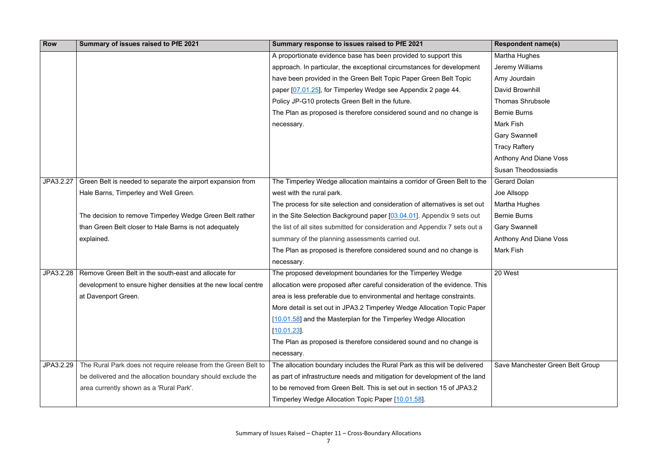| <b>Row</b> | Summary of issues raised to PfE 2021                           | Summary response to issues raised to PfE 2021                                                                                                         | <b>Respondent name(s)</b>        |
|------------|----------------------------------------------------------------|-------------------------------------------------------------------------------------------------------------------------------------------------------|----------------------------------|
|            |                                                                | A proportionate evidence base has been provided to support this                                                                                       | Martha Hughes                    |
|            |                                                                | approach. In particular, the exceptional circumstances for development                                                                                | <b>Jeremy Williams</b>           |
|            |                                                                | have been provided in the Green Belt Topic Paper Green Belt Topic                                                                                     | Amy Jourdain                     |
|            |                                                                | paper [07.01.25], for Timperley Wedge see Appendix 2 page 44.                                                                                         | David Brownhill                  |
|            |                                                                | Policy JP-G10 protects Green Belt in the future.                                                                                                      | <b>Thomas Shrubsole</b>          |
|            |                                                                | The Plan as proposed is therefore considered sound and no change is                                                                                   | <b>Bernie Burns</b>              |
|            |                                                                | necessary.                                                                                                                                            | Mark Fish                        |
|            |                                                                |                                                                                                                                                       | <b>Gary Swannell</b>             |
|            |                                                                |                                                                                                                                                       | <b>Tracy Raftery</b>             |
|            |                                                                |                                                                                                                                                       | <b>Anthony And Diane Voss</b>    |
|            |                                                                |                                                                                                                                                       | <b>Susan Theodossiadis</b>       |
| JPA3.2.27  | Green Belt is needed to separate the airport expansion from    | The Timperley Wedge allocation maintains a corridor of Green Belt to the                                                                              | <b>Gerard Dolan</b>              |
|            | Hale Barns, Timperley and Well Green.                          | west with the rural park.                                                                                                                             | Joe Allsopp                      |
|            |                                                                | The process for site selection and consideration of alternatives is set out                                                                           | Martha Hughes                    |
|            | The decision to remove Timperley Wedge Green Belt rather       | in the Site Selection Background paper $[03.04.01]$ . Appendix 9 sets out                                                                             | <b>Bernie Burns</b>              |
|            | than Green Belt closer to Hale Barns is not adequately         | the list of all sites submitted for consideration and Appendix 7 sets out a                                                                           | <b>Gary Swannell</b>             |
|            | explained.                                                     | summary of the planning assessments carried out.                                                                                                      | <b>Anthony And Diane Voss</b>    |
|            |                                                                | The Plan as proposed is therefore considered sound and no change is                                                                                   | Mark Fish                        |
|            |                                                                | necessary.                                                                                                                                            |                                  |
| JPA3.2.28  | Remove Green Belt in the south-east and allocate for           | The proposed development boundaries for the Timperley Wedge                                                                                           | 20 West                          |
|            |                                                                | development to ensure higher densities at the new local centre $\parallel$ allocation were proposed after careful consideration of the evidence. This |                                  |
|            | at Davenport Green.                                            | area is less preferable due to environmental and heritage constraints.                                                                                |                                  |
|            |                                                                | More detail is set out in JPA3.2 Timperley Wedge Allocation Topic Paper                                                                               |                                  |
|            |                                                                | [10.01.58] and the Masterplan for the Timperley Wedge Allocation                                                                                      |                                  |
|            |                                                                | [10.01.23]                                                                                                                                            |                                  |
|            |                                                                | The Plan as proposed is therefore considered sound and no change is                                                                                   |                                  |
|            |                                                                | necessary.                                                                                                                                            |                                  |
| JPA3.2.29  | The Rural Park does not require release from the Green Belt to | The allocation boundary includes the Rural Park as this will be delivered                                                                             | Save Manchester Green Belt Group |
|            | be delivered and the allocation boundary should exclude the    | as part of infrastructure needs and mitigation for development of the land                                                                            |                                  |
|            | area currently shown as a 'Rural Park'.                        | to be removed from Green Belt. This is set out in section 15 of JPA3.2                                                                                |                                  |
|            |                                                                | Timperley Wedge Allocation Topic Paper [10.01.58].                                                                                                    |                                  |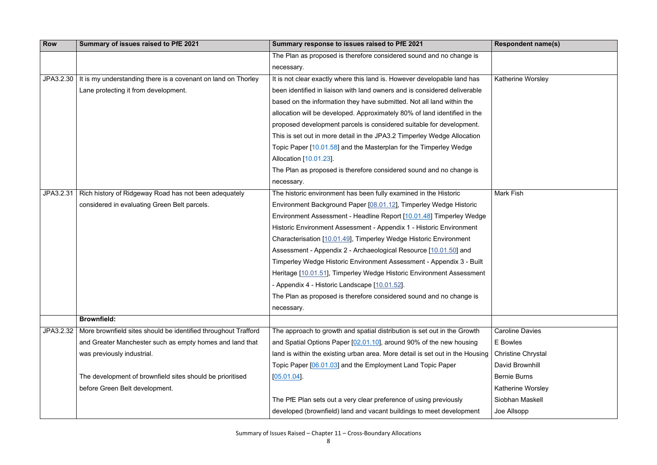Katherine Worsley

| <b>Row</b> | Summary of issues raised to PfE 2021                           | Summary response to issues raised to PfE 2021                                 |  |
|------------|----------------------------------------------------------------|-------------------------------------------------------------------------------|--|
|            |                                                                | The Plan as proposed is therefore considered sound and no change is           |  |
|            |                                                                | necessary.                                                                    |  |
| JPA3.2.30  | It is my understanding there is a covenant on land on Thorley  | It is not clear exactly where this land is. However developable land has      |  |
|            | Lane protecting it from development.                           | been identified in liaison with land owners and is considered deliverable     |  |
|            |                                                                | based on the information they have submitted. Not all land within the         |  |
|            |                                                                | allocation will be developed. Approximately 80% of land identified in the     |  |
|            |                                                                | proposed development parcels is considered suitable for development.          |  |
|            |                                                                | This is set out in more detail in the JPA3.2 Timperley Wedge Allocation       |  |
|            |                                                                | Topic Paper [10.01.58] and the Masterplan for the Timperley Wedge             |  |
|            |                                                                | Allocation [10.01.23].                                                        |  |
|            |                                                                | The Plan as proposed is therefore considered sound and no change is           |  |
|            |                                                                | necessary.                                                                    |  |
| JPA3.2.31  | Rich history of Ridgeway Road has not been adequately          | The historic environment has been fully examined in the Historic              |  |
|            | considered in evaluating Green Belt parcels.                   | Environment Background Paper [08.01.12], Timperley Wedge Historic             |  |
|            |                                                                | Environment Assessment - Headline Report [10.01.48] Timperley Wedge           |  |
|            |                                                                | Historic Environment Assessment - Appendix 1 - Historic Environment           |  |
|            |                                                                | Characterisation [10.01.49], Timperley Wedge Historic Environment             |  |
|            |                                                                | Assessment - Appendix 2 - Archaeological Resource [10.01.50] and              |  |
|            |                                                                | Timperley Wedge Historic Environment Assessment - Appendix 3 - Built          |  |
|            |                                                                | Heritage [10.01.51], Timperley Wedge Historic Environment Assessment          |  |
|            |                                                                | Appendix 4 - Historic Landscape [10.01.52].                                   |  |
|            |                                                                | The Plan as proposed is therefore considered sound and no change is           |  |
|            |                                                                | necessary.                                                                    |  |
|            | <b>Brownfield:</b>                                             |                                                                               |  |
| JPA3.2.32  | More brownfield sites should be identified throughout Trafford | The approach to growth and spatial distribution is set out in the Growth      |  |
|            | and Greater Manchester such as empty homes and land that       | and Spatial Options Paper [02.01.10], around 90% of the new housing           |  |
|            | was previously industrial.                                     | land is within the existing urban area. More detail is set out in the Housing |  |
|            |                                                                | Topic Paper [06.01.03] and the Employment Land Topic Paper                    |  |
|            | The development of brownfield sites should be prioritised      | $[05.01.04]$ .                                                                |  |
|            | before Green Belt development.                                 |                                                                               |  |
|            |                                                                | The PfE Plan sets out a very clear preference of using previously             |  |
|            |                                                                | developed (brownfield) land and vacant buildings to meet development          |  |

Mark Fish

Caroline Davies E Bowles Christine Chrystal David Brownhill Bernie Burns

Katherine Worsley

Siobhan Maskell

Joe Allsopp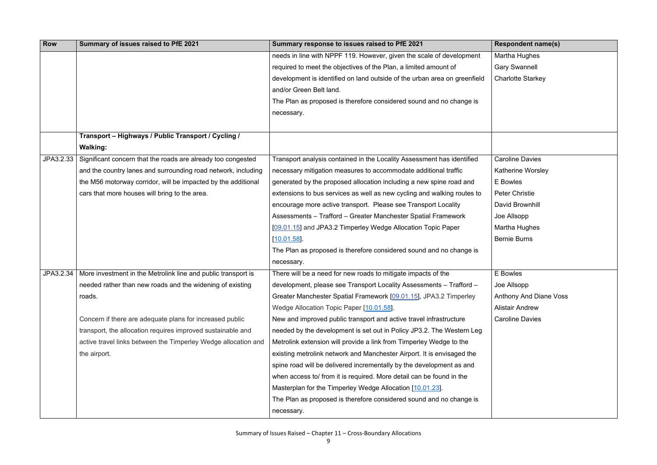Martha Hughes

Gary Swannell

Charlotte Starkey

Caroline Davies

| <b>Row</b> | Summary of issues raised to PfE 2021                           | Summary response to issues raised to PfE 2021                             |  |
|------------|----------------------------------------------------------------|---------------------------------------------------------------------------|--|
|            |                                                                | needs in line with NPPF 119. However, given the scale of development      |  |
|            |                                                                | required to meet the objectives of the Plan, a limited amount of          |  |
|            |                                                                | development is identified on land outside of the urban area on greenfield |  |
|            |                                                                | and/or Green Belt land.                                                   |  |
|            |                                                                | The Plan as proposed is therefore considered sound and no change is       |  |
|            |                                                                | necessary.                                                                |  |
|            |                                                                |                                                                           |  |
|            | Transport - Highways / Public Transport / Cycling /            |                                                                           |  |
|            | <b>Walking:</b>                                                |                                                                           |  |
| JPA3.2.33  | Significant concern that the roads are already too congested   | Transport analysis contained in the Locality Assessment has identified    |  |
|            | and the country lanes and surrounding road network, including  | necessary mitigation measures to accommodate additional traffic           |  |
|            | the M56 motorway corridor, will be impacted by the additional  | generated by the proposed allocation including a new spine road and       |  |
|            | cars that more houses will bring to the area.                  | extensions to bus services as well as new cycling and walking routes to   |  |
|            |                                                                | encourage more active transport. Please see Transport Locality            |  |
|            |                                                                | Assessments - Trafford - Greater Manchester Spatial Framework             |  |
|            |                                                                | [09.01.15] and JPA3.2 Timperley Wedge Allocation Topic Paper              |  |
|            |                                                                | [10.01.58]                                                                |  |
|            |                                                                | The Plan as proposed is therefore considered sound and no change is       |  |
|            |                                                                | necessary.                                                                |  |
| JPA3.2.34  | More investment in the Metrolink line and public transport is  | There will be a need for new roads to mitigate impacts of the             |  |
|            | needed rather than new roads and the widening of existing      | development, please see Transport Locality Assessments - Trafford -       |  |
|            | roads.                                                         | Greater Manchester Spatial Framework [09.01.15], JPA3.2 Timperley         |  |
|            |                                                                | Wedge Allocation Topic Paper [10.01.58].                                  |  |
|            | Concern if there are adequate plans for increased public       | New and improved public transport and active travel infrastructure        |  |
|            | transport, the allocation requires improved sustainable and    | needed by the development is set out in Policy JP3.2. The Western Leg     |  |
|            | active travel links between the Timperley Wedge allocation and | Metrolink extension will provide a link from Timperley Wedge to the       |  |
|            | the airport.                                                   | existing metrolink network and Manchester Airport. It is envisaged the    |  |
|            |                                                                | spine road will be delivered incrementally by the development as and      |  |
|            |                                                                | when access to/ from it is required. More detail can be found in the      |  |
|            |                                                                | Masterplan for the Timperley Wedge Allocation [10.01.23].                 |  |
|            |                                                                | The Plan as proposed is therefore considered sound and no change is       |  |
|            |                                                                | necessary.                                                                |  |

Katherine Worsley

E Bowles

Peter Christie

David Brownhill

Joe Allsopp

Martha Hughes

Bernie Burns

E Bowles

Joe Allsopp

Anthony And Diane Voss

Alistair Andrew

Caroline Davies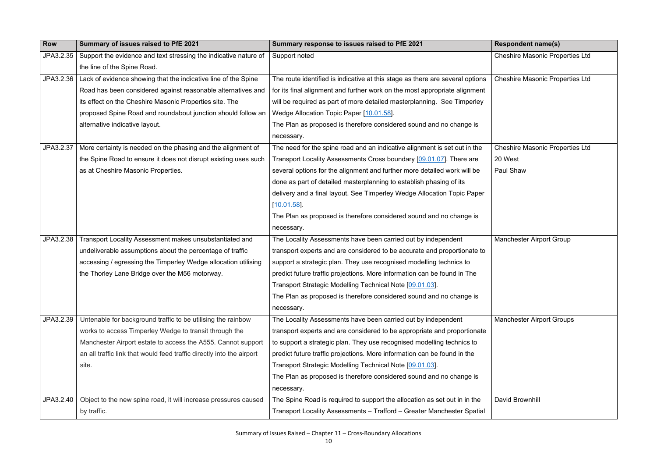| <b>Respondent name(s)</b>              |
|----------------------------------------|
| <b>Cheshire Masonic Properties Ltd</b> |
| <b>Cheshire Masonic Properties Ltd</b> |
| <b>Cheshire Masonic Properties Ltd</b> |
| 20 West                                |
| Paul Shaw                              |
| <b>Manchester Airport Group</b>        |
| <b>Manchester Airport Groups</b>       |
| <b>David Brownhill</b>                 |

| <b>Row</b> | Summary of issues raised to PfE 2021                                  | Summary response to issues raised to PfE 2021                                 | <b>Respondent name(s)</b>              |
|------------|-----------------------------------------------------------------------|-------------------------------------------------------------------------------|----------------------------------------|
| JPA3.2.35  | Support the evidence and text stressing the indicative nature of      | Support noted                                                                 | <b>Cheshire Masonic Properties Ltd</b> |
|            | the line of the Spine Road.                                           |                                                                               |                                        |
| JPA3.2.36  | Lack of evidence showing that the indicative line of the Spine        | The route identified is indicative at this stage as there are several options | <b>Cheshire Masonic Properties Ltd</b> |
|            | Road has been considered against reasonable alternatives and          | for its final alignment and further work on the most appropriate alignment    |                                        |
|            | its effect on the Cheshire Masonic Properties site. The               | will be required as part of more detailed masterplanning. See Timperley       |                                        |
|            | proposed Spine Road and roundabout junction should follow an          | Wedge Allocation Topic Paper [10.01.58].                                      |                                        |
|            | alternative indicative layout.                                        | The Plan as proposed is therefore considered sound and no change is           |                                        |
|            |                                                                       | necessary.                                                                    |                                        |
| JPA3.2.37  | More certainty is needed on the phasing and the alignment of          | The need for the spine road and an indicative alignment is set out in the     | <b>Cheshire Masonic Properties Ltd</b> |
|            | the Spine Road to ensure it does not disrupt existing uses such       | Transport Locality Assessments Cross boundary [09.01.07]. There are           | 20 West                                |
|            | as at Cheshire Masonic Properties.                                    | several options for the alignment and further more detailed work will be      | Paul Shaw                              |
|            |                                                                       | done as part of detailed masterplanning to establish phasing of its           |                                        |
|            |                                                                       | delivery and a final layout. See Timperley Wedge Allocation Topic Paper       |                                        |
|            |                                                                       | $[10.01.58]$ .                                                                |                                        |
|            |                                                                       | The Plan as proposed is therefore considered sound and no change is           |                                        |
|            |                                                                       | necessary.                                                                    |                                        |
| JPA3.2.38  | Transport Locality Assessment makes unsubstantiated and               | The Locality Assessments have been carried out by independent                 | <b>Manchester Airport Group</b>        |
|            | undeliverable assumptions about the percentage of traffic             | transport experts and are considered to be accurate and proportionate to      |                                        |
|            | accessing / egressing the Timperley Wedge allocation utilising        | support a strategic plan. They use recognised modelling technics to           |                                        |
|            | the Thorley Lane Bridge over the M56 motorway.                        | predict future traffic projections. More information can be found in The      |                                        |
|            |                                                                       | Transport Strategic Modelling Technical Note [09.01.03].                      |                                        |
|            |                                                                       | The Plan as proposed is therefore considered sound and no change is           |                                        |
|            |                                                                       | necessary.                                                                    |                                        |
| JPA3.2.39  | Untenable for background traffic to be utilising the rainbow          | The Locality Assessments have been carried out by independent                 | <b>Manchester Airport Groups</b>       |
|            | works to access Timperley Wedge to transit through the                | transport experts and are considered to be appropriate and proportionate      |                                        |
|            | Manchester Airport estate to access the A555. Cannot support          | to support a strategic plan. They use recognised modelling technics to        |                                        |
|            | an all traffic link that would feed traffic directly into the airport | predict future traffic projections. More information can be found in the      |                                        |
|            | site.                                                                 | Transport Strategic Modelling Technical Note [09.01.03].                      |                                        |
|            |                                                                       | The Plan as proposed is therefore considered sound and no change is           |                                        |
|            |                                                                       | necessary.                                                                    |                                        |
| JPA3.2.40  | Object to the new spine road, it will increase pressures caused       | The Spine Road is required to support the allocation as set out in in the     | David Brownhill                        |
|            | by traffic.                                                           | Transport Locality Assessments - Trafford - Greater Manchester Spatial        |                                        |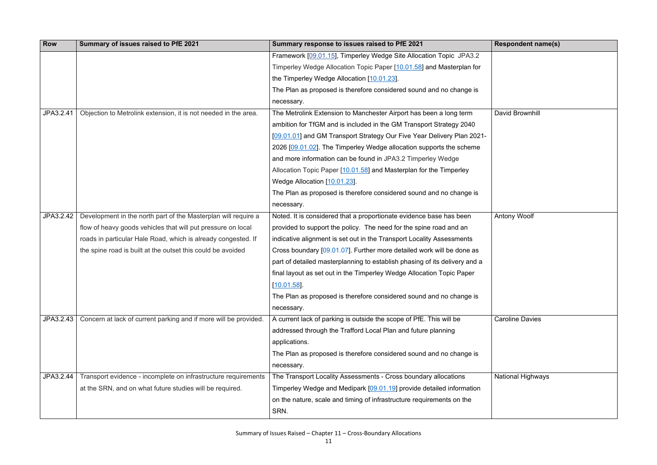**Respondent name(s)** David Brownhill Antony Woolf Caroline Davies National Highways

| <b>Row</b> | Summary of issues raised to PfE 2021                             | Summary response to issues raised to PfE 2021                              |  |
|------------|------------------------------------------------------------------|----------------------------------------------------------------------------|--|
|            |                                                                  | Framework [09.01.15], Timperley Wedge Site Allocation Topic JPA3.2         |  |
|            |                                                                  | Timperley Wedge Allocation Topic Paper [10.01.58] and Masterplan for       |  |
|            |                                                                  | the Timperley Wedge Allocation [10.01.23].                                 |  |
|            |                                                                  | The Plan as proposed is therefore considered sound and no change is        |  |
|            |                                                                  | necessary.                                                                 |  |
| JPA3.2.41  | Objection to Metrolink extension, it is not needed in the area.  | The Metrolink Extension to Manchester Airport has been a long term         |  |
|            |                                                                  | ambition for TfGM and is included in the GM Transport Strategy 2040        |  |
|            |                                                                  | [09.01.01] and GM Transport Strategy Our Five Year Delivery Plan 2021-     |  |
|            |                                                                  | 2026 [09.01.02]. The Timperley Wedge allocation supports the scheme        |  |
|            |                                                                  | and more information can be found in JPA3.2 Timperley Wedge                |  |
|            |                                                                  | Allocation Topic Paper [10.01.58] and Masterplan for the Timperley         |  |
|            |                                                                  | Wedge Allocation [10.01.23].                                               |  |
|            |                                                                  | The Plan as proposed is therefore considered sound and no change is        |  |
|            |                                                                  | necessary.                                                                 |  |
| JPA3.2.42  | Development in the north part of the Masterplan will require a   | Noted. It is considered that a proportionate evidence base has been        |  |
|            | flow of heavy goods vehicles that will put pressure on local     | provided to support the policy. The need for the spine road and an         |  |
|            | roads in particular Hale Road, which is already congested. If    | indicative alignment is set out in the Transport Locality Assessments      |  |
|            | the spine road is built at the outset this could be avoided      | Cross boundary [09.01.07]. Further more detailed work will be done as      |  |
|            |                                                                  | part of detailed masterplanning to establish phasing of its delivery and a |  |
|            |                                                                  | final layout as set out in the Timperley Wedge Allocation Topic Paper      |  |
|            |                                                                  | [10.01.58]                                                                 |  |
|            |                                                                  | The Plan as proposed is therefore considered sound and no change is        |  |
|            |                                                                  | necessary.                                                                 |  |
| JPA3.2.43  | Concern at lack of current parking and if more will be provided. | A current lack of parking is outside the scope of PfE. This will be        |  |
|            |                                                                  | addressed through the Trafford Local Plan and future planning              |  |
|            |                                                                  | applications.                                                              |  |
|            |                                                                  | The Plan as proposed is therefore considered sound and no change is        |  |
|            |                                                                  | necessary.                                                                 |  |
| JPA3.2.44  | Transport evidence - incomplete on infrastructure requirements   | The Transport Locality Assessments - Cross boundary allocations            |  |
|            | at the SRN, and on what future studies will be required.         | Timperley Wedge and Medipark [09.01.19] provide detailed information       |  |
|            |                                                                  | on the nature, scale and timing of infrastructure requirements on the      |  |
|            |                                                                  | SRN.                                                                       |  |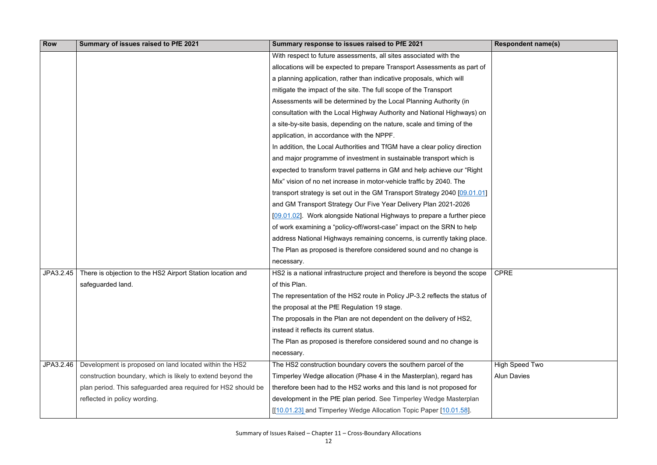## CPRE

High Speed Two Alun Davies

| <b>Row</b> | Summary of issues raised to PfE 2021                          | Summary response to issues raised to PfE 2021                               |
|------------|---------------------------------------------------------------|-----------------------------------------------------------------------------|
|            |                                                               | With respect to future assessments, all sites associated with the           |
|            |                                                               | allocations will be expected to prepare Transport Assessments as part of    |
|            |                                                               | a planning application, rather than indicative proposals, which will        |
|            |                                                               | mitigate the impact of the site. The full scope of the Transport            |
|            |                                                               | Assessments will be determined by the Local Planning Authority (in          |
|            |                                                               | consultation with the Local Highway Authority and National Highways) on     |
|            |                                                               | a site-by-site basis, depending on the nature, scale and timing of the      |
|            |                                                               | application, in accordance with the NPPF.                                   |
|            |                                                               | In addition, the Local Authorities and TfGM have a clear policy direction   |
|            |                                                               | and major programme of investment in sustainable transport which is         |
|            |                                                               | expected to transform travel patterns in GM and help achieve our "Right"    |
|            |                                                               | Mix" vision of no net increase in motor-vehicle traffic by 2040. The        |
|            |                                                               | transport strategy is set out in the GM Transport Strategy 2040 [09.01.01]  |
|            |                                                               | and GM Transport Strategy Our Five Year Delivery Plan 2021-2026             |
|            |                                                               | [09.01.02]. Work alongside National Highways to prepare a further piece     |
|            |                                                               | of work examining a "policy-off/worst-case" impact on the SRN to help       |
|            |                                                               | address National Highways remaining concerns, is currently taking place.    |
|            |                                                               | The Plan as proposed is therefore considered sound and no change is         |
|            |                                                               | necessary.                                                                  |
| JPA3.2.45  | There is objection to the HS2 Airport Station location and    | HS2 is a national infrastructure project and therefore is beyond the scope  |
|            | safeguarded land.                                             | of this Plan.                                                               |
|            |                                                               | The representation of the HS2 route in Policy JP-3.2 reflects the status of |
|            |                                                               | the proposal at the PfE Regulation 19 stage.                                |
|            |                                                               | The proposals in the Plan are not dependent on the delivery of HS2,         |
|            |                                                               | instead it reflects its current status.                                     |
|            |                                                               | The Plan as proposed is therefore considered sound and no change is         |
|            |                                                               | necessary.                                                                  |
| JPA3.2.46  | Development is proposed on land located within the HS2        | The HS2 construction boundary covers the southern parcel of the             |
|            | construction boundary, which is likely to extend beyond the   | Timperley Wedge allocation (Phase 4 in the Masterplan), regard has          |
|            | plan period. This safeguarded area required for HS2 should be | therefore been had to the HS2 works and this land is not proposed for       |
|            | reflected in policy wording.                                  | development in the PfE plan period. See Timperley Wedge Masterplan          |
|            |                                                               | [[10.01.23] and Timperley Wedge Allocation Topic Paper [10.01.58].          |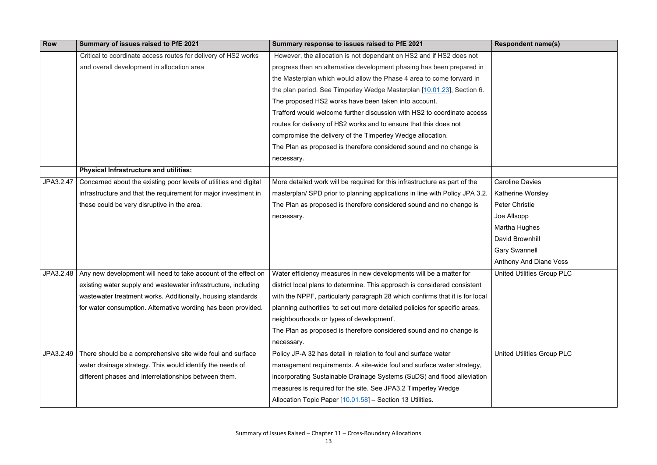| <b>Row</b> | Summary of issues raised to PfE 2021                              | Summary response to issues raised to PfE 2021                                |
|------------|-------------------------------------------------------------------|------------------------------------------------------------------------------|
|            | Critical to coordinate access routes for delivery of HS2 works    | However, the allocation is not dependant on HS2 and if HS2 does not          |
|            | and overall development in allocation area                        | progress then an alternative development phasing has been prepared in        |
|            |                                                                   | the Masterplan which would allow the Phase 4 area to come forward in         |
|            |                                                                   | the plan period. See Timperley Wedge Masterplan [10.01.23], Section 6.       |
|            |                                                                   | The proposed HS2 works have been taken into account.                         |
|            |                                                                   | Trafford would welcome further discussion with HS2 to coordinate access      |
|            |                                                                   | routes for delivery of HS2 works and to ensure that this does not            |
|            |                                                                   | compromise the delivery of the Timperley Wedge allocation.                   |
|            |                                                                   | The Plan as proposed is therefore considered sound and no change is          |
|            |                                                                   | necessary.                                                                   |
|            | <b>Physical Infrastructure and utilities:</b>                     |                                                                              |
| JPA3.2.47  | Concerned about the existing poor levels of utilities and digital | More detailed work will be required for this infrastructure as part of the   |
|            | infrastructure and that the requirement for major investment in   | masterplan/ SPD prior to planning applications in line with Policy JPA 3.2.  |
|            | these could be very disruptive in the area.                       | The Plan as proposed is therefore considered sound and no change is          |
|            |                                                                   | necessary.                                                                   |
|            |                                                                   |                                                                              |
|            |                                                                   |                                                                              |
|            |                                                                   |                                                                              |
|            |                                                                   |                                                                              |
| JPA3.2.48  | Any new development will need to take account of the effect on    | Water efficiency measures in new developments will be a matter for           |
|            | existing water supply and wastewater infrastructure, including    | district local plans to determine. This approach is considered consistent    |
|            | wastewater treatment works. Additionally, housing standards       | with the NPPF, particularly paragraph 28 which confirms that it is for local |
|            | for water consumption. Alternative wording has been provided.     | planning authorities 'to set out more detailed policies for specific areas,  |
|            |                                                                   | neighbourhoods or types of development'.                                     |
|            |                                                                   | The Plan as proposed is therefore considered sound and no change is          |
|            |                                                                   | necessary.                                                                   |
| JPA3.2.49  | There should be a comprehensive site wide foul and surface        | Policy JP-A 32 has detail in relation to foul and surface water              |
|            | water drainage strategy. This would identify the needs of         | management requirements. A site-wide foul and surface water strategy,        |
|            | different phases and interrelationships between them.             | incorporating Sustainable Drainage Systems (SuDS) and flood alleviation      |
|            |                                                                   | measures is required for the site. See JPA3.2 Timperley Wedge                |
|            |                                                                   | Allocation Topic Paper [10.01.58] - Section 13 Utilities.                    |

- Caroline Davies Katherine Worsley Peter Christie
- Joe Allsopp
- Martha Hughes
- David Brownhill
- Gary Swannell
- Anthony And Diane Voss
- United Utilities Group PLC

#### United Utilities Group PLC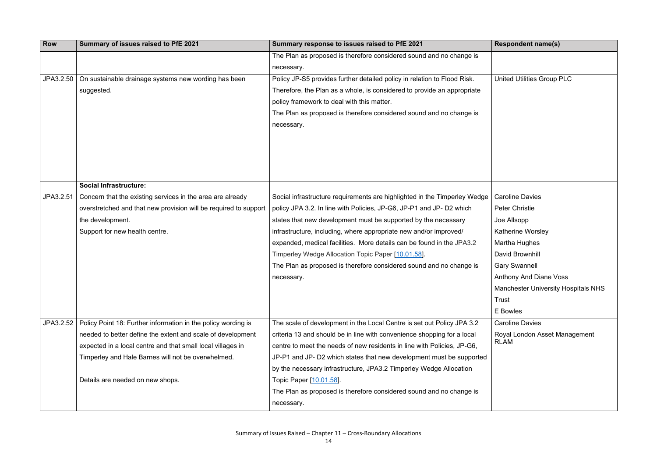United Utilities Group PLC Caroline Davies Peter Christie Joe Allsopp Katherine Worsley Martha Hughes David Brownhill Gary Swannell Anthony And Diane Voss Manchester University Hospitals NHS Trust E Bowles

| Row       | Summary of issues raised to PfE 2021                             | Summary response to issues raised to PfE 2021                             | <b>Respondent name(s)</b>       |
|-----------|------------------------------------------------------------------|---------------------------------------------------------------------------|---------------------------------|
|           |                                                                  | The Plan as proposed is therefore considered sound and no change is       |                                 |
|           |                                                                  | necessary.                                                                |                                 |
| JPA3.2.50 | On sustainable drainage systems new wording has been             | Policy JP-S5 provides further detailed policy in relation to Flood Risk.  | <b>United Utilities Group F</b> |
|           | suggested.                                                       | Therefore, the Plan as a whole, is considered to provide an appropriate   |                                 |
|           |                                                                  | policy framework to deal with this matter.                                |                                 |
|           |                                                                  | The Plan as proposed is therefore considered sound and no change is       |                                 |
|           |                                                                  | necessary.                                                                |                                 |
|           |                                                                  |                                                                           |                                 |
|           |                                                                  |                                                                           |                                 |
|           |                                                                  |                                                                           |                                 |
|           |                                                                  |                                                                           |                                 |
|           | <b>Social Infrastructure:</b>                                    |                                                                           |                                 |
| JPA3.2.51 | Concern that the existing services in the area are already       | Social infrastructure requirements are highlighted in the Timperley Wedge | <b>Caroline Davies</b>          |
|           | overstretched and that new provision will be required to support | policy JPA 3.2. In line with Policies, JP-G6, JP-P1 and JP- D2 which      | <b>Peter Christie</b>           |
|           | the development.                                                 | states that new development must be supported by the necessary            | Joe Allsopp                     |
|           | Support for new health centre.                                   | infrastructure, including, where appropriate new and/or improved/         | <b>Katherine Worsley</b>        |
|           |                                                                  | expanded, medical facilities. More details can be found in the JPA3.2     | Martha Hughes                   |
|           |                                                                  | Timperley Wedge Allocation Topic Paper [10.01.58].                        | David Brownhill                 |
|           |                                                                  | The Plan as proposed is therefore considered sound and no change is       | <b>Gary Swannell</b>            |
|           |                                                                  | necessary.                                                                | <b>Anthony And Diane Vo</b>     |
|           |                                                                  |                                                                           | <b>Manchester University</b>    |
|           |                                                                  |                                                                           | Trust                           |
|           |                                                                  |                                                                           | E Bowles                        |
| JPA3.2.52 | Policy Point 18: Further information in the policy wording is    | The scale of development in the Local Centre is set out Policy JPA 3.2    | <b>Caroline Davies</b>          |
|           | needed to better define the extent and scale of development      | criteria 13 and should be in line with convenience shopping for a local   | Royal London Asset M            |
|           | expected in a local centre and that small local villages in      | centre to meet the needs of new residents in line with Policies, JP-G6,   | <b>RLAM</b>                     |
|           | Timperley and Hale Barnes will not be overwhelmed.               | JP-P1 and JP- D2 which states that new development must be supported      |                                 |
|           |                                                                  | by the necessary infrastructure, JPA3.2 Timperley Wedge Allocation        |                                 |
|           | Details are needed on new shops.                                 | Topic Paper [10.01.58].                                                   |                                 |
|           |                                                                  | The Plan as proposed is therefore considered sound and no change is       |                                 |
|           |                                                                  | necessary.                                                                |                                 |

Royal London Asset Management RLAM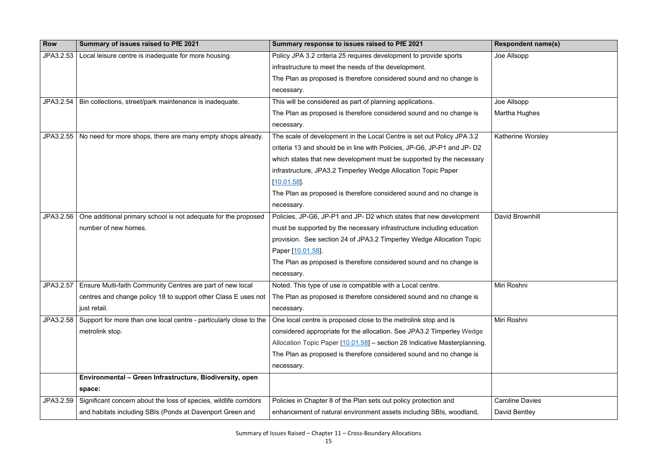| <b>Row</b> | Summary of issues raised to PfE 2021                                   | Summary response to issues raised to PfE 2021                             | <b>Respondent name(s)</b> |
|------------|------------------------------------------------------------------------|---------------------------------------------------------------------------|---------------------------|
| JPA3.2.53  | Local leisure centre is inadequate for more housing.                   | Policy JPA 3.2 criteria 25 requires development to provide sports         | Joe Allsopp               |
|            |                                                                        | infrastructure to meet the needs of the development.                      |                           |
|            |                                                                        | The Plan as proposed is therefore considered sound and no change is       |                           |
|            |                                                                        | necessary.                                                                |                           |
| JPA3.2.54  | Bin collections, street/park maintenance is inadequate.                | This will be considered as part of planning applications.                 | Joe Allsopp               |
|            |                                                                        | The Plan as proposed is therefore considered sound and no change is       | <b>Martha Hughes</b>      |
|            |                                                                        | necessary.                                                                |                           |
| JPA3.2.55  | No need for more shops, there are many empty shops already.            | The scale of development in the Local Centre is set out Policy JPA 3.2    | <b>Katherine Worsley</b>  |
|            |                                                                        | criteria 13 and should be in line with Policies, JP-G6, JP-P1 and JP- D2  |                           |
|            |                                                                        | which states that new development must be supported by the necessary      |                           |
|            |                                                                        | infrastructure, JPA3.2 Timperley Wedge Allocation Topic Paper             |                           |
|            |                                                                        | [10.01.58]                                                                |                           |
|            |                                                                        | The Plan as proposed is therefore considered sound and no change is       |                           |
|            |                                                                        | necessary.                                                                |                           |
| JPA3.2.56  | One additional primary school is not adequate for the proposed         | Policies, JP-G6, JP-P1 and JP- D2 which states that new development       | David Brownhill           |
|            | number of new homes.                                                   | must be supported by the necessary infrastructure including education     |                           |
|            |                                                                        | provision. See section 24 of JPA3.2 Timperley Wedge Allocation Topic      |                           |
|            |                                                                        | Paper [10.01.58].                                                         |                           |
|            |                                                                        | The Plan as proposed is therefore considered sound and no change is       |                           |
|            |                                                                        | necessary.                                                                |                           |
|            | JPA3.2.57   Ensure Multi-faith Community Centres are part of new local | Noted. This type of use is compatible with a Local centre.                | Miri Roshni               |
|            | centres and change policy 18 to support other Class E uses not         | The Plan as proposed is therefore considered sound and no change is       |                           |
|            | just retail.                                                           | necessary.                                                                |                           |
| JPA3.2.58  | Support for more than one local centre - particularly close to the     | One local centre is proposed close to the metrolink stop and is           | Miri Roshni               |
|            | metrolink stop.                                                        | considered appropriate for the allocation. See JPA3.2 Timperley Wedge     |                           |
|            |                                                                        | Allocation Topic Paper [10.01.58] - section 28 Indicative Masterplanning. |                           |
|            |                                                                        | The Plan as proposed is therefore considered sound and no change is       |                           |
|            |                                                                        | necessary.                                                                |                           |
|            | Environmental - Green Infrastructure, Biodiversity, open               |                                                                           |                           |
|            | space:                                                                 |                                                                           |                           |
| JPA3.2.59  | Significant concern about the loss of species, wildlife corridors      | Policies in Chapter 8 of the Plan sets out policy protection and          | <b>Caroline Davies</b>    |
|            | and habitats including SBIs (Ponds at Davenport Green and              | enhancement of natural environment assets including SBIs, woodland,       | David Bentley             |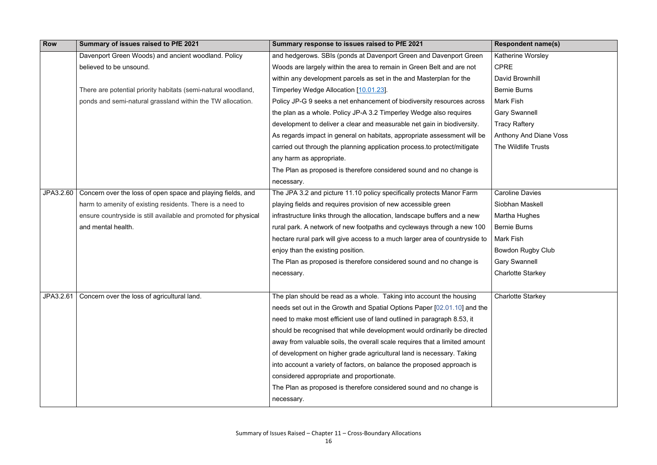| Row       | Summary of issues raised to PfE 2021                            | Summary response to issues raised to PfE 2021                               | <b>Respondent name(s)</b>     |
|-----------|-----------------------------------------------------------------|-----------------------------------------------------------------------------|-------------------------------|
|           | Davenport Green Woods) and ancient woodland. Policy             | and hedgerows. SBIs (ponds at Davenport Green and Davenport Green           | <b>Katherine Worsley</b>      |
|           | believed to be unsound.                                         | Woods are largely within the area to remain in Green Belt and are not       | <b>CPRE</b>                   |
|           |                                                                 | within any development parcels as set in the and Masterplan for the         | David Brownhill               |
|           | There are potential priority habitats (semi-natural woodland,   | Timperley Wedge Allocation [10.01.23].                                      | <b>Bernie Burns</b>           |
|           | ponds and semi-natural grassland within the TW allocation.      | Policy JP-G 9 seeks a net enhancement of biodiversity resources across      | Mark Fish                     |
|           |                                                                 | the plan as a whole. Policy JP-A 3.2 Timperley Wedge also requires          | <b>Gary Swannell</b>          |
|           |                                                                 | development to deliver a clear and measurable net gain in biodiversity.     | <b>Tracy Raftery</b>          |
|           |                                                                 | As regards impact in general on habitats, appropriate assessment will be    | <b>Anthony And Diane Voss</b> |
|           |                                                                 | carried out through the planning application process to protect/mitigate    | The Wildlife Trusts           |
|           |                                                                 | any harm as appropriate.                                                    |                               |
|           |                                                                 | The Plan as proposed is therefore considered sound and no change is         |                               |
|           |                                                                 | necessary.                                                                  |                               |
| JPA3.2.60 | Concern over the loss of open space and playing fields, and     | The JPA 3.2 and picture 11.10 policy specifically protects Manor Farm       | <b>Caroline Davies</b>        |
|           | harm to amenity of existing residents. There is a need to       | playing fields and requires provision of new accessible green               | Siobhan Maskell               |
|           | ensure countryside is still available and promoted for physical | infrastructure links through the allocation, landscape buffers and a new    | Martha Hughes                 |
|           | and mental health.                                              | rural park. A network of new footpaths and cycleways through a new 100      | <b>Bernie Burns</b>           |
|           |                                                                 | hectare rural park will give access to a much larger area of countryside to | Mark Fish                     |
|           |                                                                 | enjoy than the existing position.                                           | <b>Bowdon Rugby Club</b>      |
|           |                                                                 | The Plan as proposed is therefore considered sound and no change is         | <b>Gary Swannell</b>          |
|           |                                                                 | necessary.                                                                  | <b>Charlotte Starkey</b>      |
|           |                                                                 |                                                                             |                               |
| JPA3.2.61 | Concern over the loss of agricultural land.                     | The plan should be read as a whole. Taking into account the housing         | <b>Charlotte Starkey</b>      |
|           |                                                                 | needs set out in the Growth and Spatial Options Paper [02.01.10] and the    |                               |
|           |                                                                 | need to make most efficient use of land outlined in paragraph 8.53, it      |                               |
|           |                                                                 | should be recognised that while development would ordinarily be directed    |                               |
|           |                                                                 | away from valuable soils, the overall scale requires that a limited amount  |                               |
|           |                                                                 | of development on higher grade agricultural land is necessary. Taking       |                               |
|           |                                                                 | into account a variety of factors, on balance the proposed approach is      |                               |
|           |                                                                 | considered appropriate and proportionate.                                   |                               |
|           |                                                                 | The Plan as proposed is therefore considered sound and no change is         |                               |
|           |                                                                 | necessary.                                                                  |                               |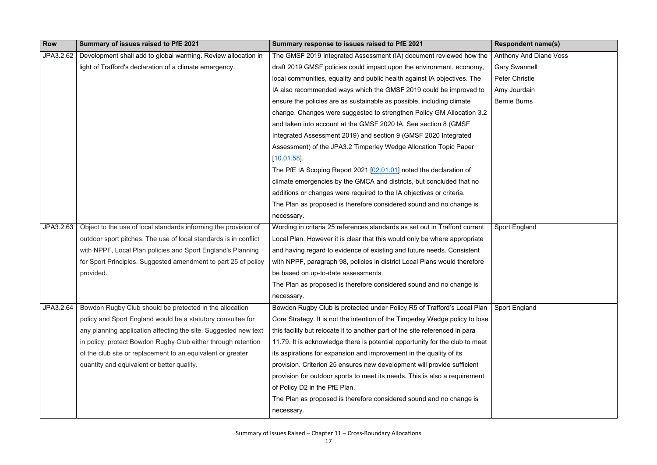| Row       | Summary of issues raised to PfE 2021                             | Summary response to issues raised to PfE 2021                                | <b>Respondent name(s)</b> |
|-----------|------------------------------------------------------------------|------------------------------------------------------------------------------|---------------------------|
| JPA3.2.62 | Development shall add to global warming. Review allocation in    | The GMSF 2019 Integrated Assessment (IA) document reviewed how the           | Anthony And Diane Voss    |
|           | light of Trafford's declaration of a climate emergency.          | draft 2019 GMSF policies could impact upon the environment, economy,         | <b>Gary Swannell</b>      |
|           |                                                                  | local communities, equality and public health against IA objectives. The     | <b>Peter Christie</b>     |
|           |                                                                  | IA also recommended ways which the GMSF 2019 could be improved to            | Amy Jourdain              |
|           |                                                                  | ensure the policies are as sustainable as possible, including climate        | <b>Bernie Burns</b>       |
|           |                                                                  | change. Changes were suggested to strengthen Policy GM Allocation 3.2        |                           |
|           |                                                                  | and taken into account at the GMSF 2020 IA. See section 8 (GMSF)             |                           |
|           |                                                                  | Integrated Assessment 2019) and section 9 (GMSF 2020 Integrated              |                           |
|           |                                                                  | Assessment) of the JPA3.2 Timperley Wedge Allocation Topic Paper             |                           |
|           |                                                                  | $[10.01.58]$ .                                                               |                           |
|           |                                                                  | The PfE IA Scoping Report 2021 [02.01.01] noted the declaration of           |                           |
|           |                                                                  | climate emergencies by the GMCA and districts, but concluded that no         |                           |
|           |                                                                  | additions or changes were required to the IA objectives or criteria.         |                           |
|           |                                                                  | The Plan as proposed is therefore considered sound and no change is          |                           |
|           |                                                                  | necessary.                                                                   |                           |
| JPA3.2.63 | Object to the use of local standards informing the provision of  | Wording in criteria 25 references standards as set out in Trafford current   | <b>Sport England</b>      |
|           | outdoor sport pitches. The use of local standards is in conflict | Local Plan. However it is clear that this would only be where appropriate    |                           |
|           | with NPPF, Local Plan policies and Sport England's Planning      | and having regard to evidence of existing and future needs. Consistent       |                           |
|           | for Sport Principles. Suggested amendment to part 25 of policy   | with NPPF, paragraph 98, policies in district Local Plans would therefore    |                           |
|           | provided.                                                        | be based on up-to-date assessments.                                          |                           |
|           |                                                                  | The Plan as proposed is therefore considered sound and no change is          |                           |
|           |                                                                  | necessary.                                                                   |                           |
| JPA3.2.64 | Bowdon Rugby Club should be protected in the allocation          | Bowdon Rugby Club is protected under Policy R5 of Trafford's Local Plan      | <b>Sport England</b>      |
|           | policy and Sport England would be a statutory consultee for      | Core Strategy. It is not the intention of the Timperley Wedge policy to lose |                           |
|           | any planning application affecting the site. Suggested new text  | this facility but relocate it to another part of the site referenced in para |                           |
|           | in policy: protect Bowdon Rugby Club either through retention    | 11.79. It is acknowledge there is potential opportunity for the club to meet |                           |
|           | of the club site or replacement to an equivalent or greater      | its aspirations for expansion and improvement in the quality of its          |                           |
|           | quantity and equivalent or better quality.                       | provision. Criterion 25 ensures new development will provide sufficient      |                           |
|           |                                                                  | provision for outdoor sports to meet its needs. This is also a requirement   |                           |
|           |                                                                  | of Policy D2 in the PfE Plan.                                                |                           |
|           |                                                                  | The Plan as proposed is therefore considered sound and no change is          |                           |
|           |                                                                  | necessary.                                                                   |                           |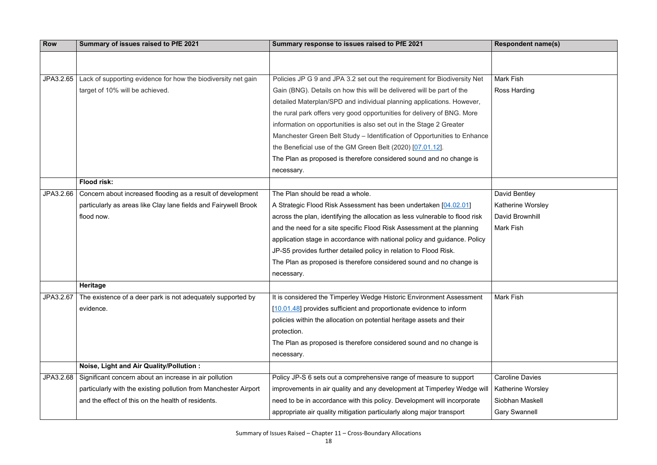| <b>Row</b> | Summary of issues raised to PfE 2021                             | Summary response to issues raised to PfE 2021                                | <b>Respondent name(s)</b> |
|------------|------------------------------------------------------------------|------------------------------------------------------------------------------|---------------------------|
|            |                                                                  |                                                                              |                           |
|            |                                                                  |                                                                              |                           |
| JPA3.2.65  | Lack of supporting evidence for how the biodiversity net gain    | Policies JP G 9 and JPA 3.2 set out the requirement for Biodiversity Net     | Mark Fish                 |
|            | target of 10% will be achieved.                                  | Gain (BNG). Details on how this will be delivered will be part of the        | Ross Harding              |
|            |                                                                  | detailed Materplan/SPD and individual planning applications. However,        |                           |
|            |                                                                  | the rural park offers very good opportunities for delivery of BNG. More      |                           |
|            |                                                                  | information on opportunities is also set out in the Stage 2 Greater          |                           |
|            |                                                                  | Manchester Green Belt Study – Identification of Opportunities to Enhance     |                           |
|            |                                                                  | the Beneficial use of the GM Green Belt (2020) [07.01.12].                   |                           |
|            |                                                                  | The Plan as proposed is therefore considered sound and no change is          |                           |
|            |                                                                  | necessary.                                                                   |                           |
|            | Flood risk:                                                      |                                                                              |                           |
| JPA3.2.66  | Concern about increased flooding as a result of development      | The Plan should be read a whole.                                             | David Bentley             |
|            | particularly as areas like Clay lane fields and Fairywell Brook  | A Strategic Flood Risk Assessment has been undertaken [04.02.01]             | <b>Katherine Worsley</b>  |
|            | flood now.                                                       | across the plan, identifying the allocation as less vulnerable to flood risk | David Brownhill           |
|            |                                                                  | and the need for a site specific Flood Risk Assessment at the planning       | <b>Mark Fish</b>          |
|            |                                                                  | application stage in accordance with national policy and guidance. Policy    |                           |
|            |                                                                  | JP-S5 provides further detailed policy in relation to Flood Risk.            |                           |
|            |                                                                  | The Plan as proposed is therefore considered sound and no change is          |                           |
|            |                                                                  | necessary.                                                                   |                           |
|            | <b>Heritage</b>                                                  |                                                                              |                           |
| JPA3.2.67  | The existence of a deer park is not adequately supported by      | It is considered the Timperley Wedge Historic Environment Assessment         | <b>Mark Fish</b>          |
|            | evidence.                                                        | [10.01.48] provides sufficient and proportionate evidence to inform          |                           |
|            |                                                                  | policies within the allocation on potential heritage assets and their        |                           |
|            |                                                                  | protection.                                                                  |                           |
|            |                                                                  | The Plan as proposed is therefore considered sound and no change is          |                           |
|            |                                                                  | necessary.                                                                   |                           |
|            | Noise, Light and Air Quality/Pollution :                         |                                                                              |                           |
| JPA3.2.68  | Significant concern about an increase in air pollution           | Policy JP-S 6 sets out a comprehensive range of measure to support           | <b>Caroline Davies</b>    |
|            | particularly with the existing pollution from Manchester Airport | improvements in air quality and any development at Timperley Wedge will      | <b>Katherine Worsley</b>  |
|            | and the effect of this on the health of residents.               | need to be in accordance with this policy. Development will incorporate      | Siobhan Maskell           |
|            |                                                                  | appropriate air quality mitigation particularly along major transport        | <b>Gary Swannell</b>      |

| <b>Respondent name(s)</b> |
|---------------------------|
|                           |
| <b>Mark Fish</b>          |
| <b>Ross Harding</b>       |
|                           |
|                           |
|                           |
|                           |
|                           |
|                           |
|                           |
| David Bentley             |
| Katherine Worsley         |
| <b>David Brownhill</b>    |
| <b>Mark Fish</b>          |
|                           |
|                           |
|                           |
|                           |
| <b>Mark Fish</b>          |
|                           |
|                           |
|                           |
|                           |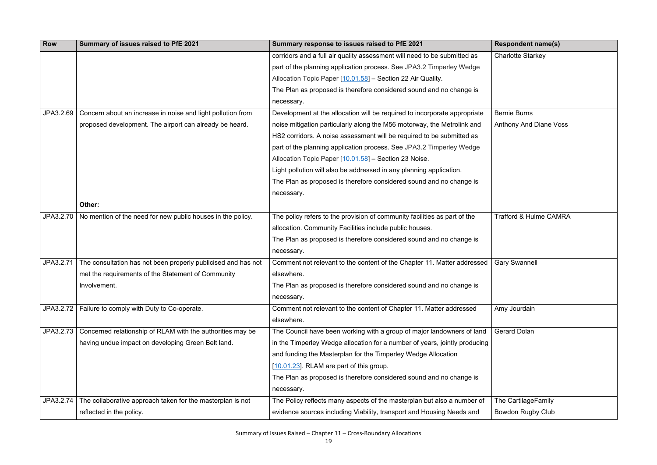| <b>Row</b> | Summary of issues raised to PfE 2021                          | Summary response to issues raised to PfE 2021                              | <b>Respondent name(s)</b>       |
|------------|---------------------------------------------------------------|----------------------------------------------------------------------------|---------------------------------|
|            |                                                               | corridors and a full air quality assessment will need to be submitted as   | <b>Charlotte Starkey</b>        |
|            |                                                               | part of the planning application process. See JPA3.2 Timperley Wedge       |                                 |
|            |                                                               | Allocation Topic Paper [10.01.58] - Section 22 Air Quality.                |                                 |
|            |                                                               | The Plan as proposed is therefore considered sound and no change is        |                                 |
|            |                                                               | necessary.                                                                 |                                 |
| JPA3.2.69  | Concern about an increase in noise and light pollution from   | Development at the allocation will be required to incorporate appropriate  | <b>Bernie Burns</b>             |
|            | proposed development. The airport can already be heard.       | noise mitigation particularly along the M56 motorway, the Metrolink and    | <b>Anthony And Diane Vo</b>     |
|            |                                                               | HS2 corridors. A noise assessment will be required to be submitted as      |                                 |
|            |                                                               | part of the planning application process. See JPA3.2 Timperley Wedge       |                                 |
|            |                                                               | Allocation Topic Paper [10.01.58] - Section 23 Noise.                      |                                 |
|            |                                                               | Light pollution will also be addressed in any planning application.        |                                 |
|            |                                                               | The Plan as proposed is therefore considered sound and no change is        |                                 |
|            |                                                               | necessary.                                                                 |                                 |
|            | Other:                                                        |                                                                            |                                 |
| JPA3.2.70  | No mention of the need for new public houses in the policy.   | The policy refers to the provision of community facilities as part of the  | <b>Trafford &amp; Hulme CAN</b> |
|            |                                                               | allocation. Community Facilities include public houses.                    |                                 |
|            |                                                               | The Plan as proposed is therefore considered sound and no change is        |                                 |
|            |                                                               | necessary.                                                                 |                                 |
| JPA3.2.71  | The consultation has not been properly publicised and has not | Comment not relevant to the content of the Chapter 11. Matter addressed    | <b>Gary Swannell</b>            |
|            | met the requirements of the Statement of Community            | elsewhere.                                                                 |                                 |
|            | Involvement.                                                  | The Plan as proposed is therefore considered sound and no change is        |                                 |
|            |                                                               | necessary.                                                                 |                                 |
| JPA3.2.72  | Failure to comply with Duty to Co-operate.                    | Comment not relevant to the content of Chapter 11. Matter addressed        | Amy Jourdain                    |
|            |                                                               | elsewhere.                                                                 |                                 |
| JPA3.2.73  | Concerned relationship of RLAM with the authorities may be    | The Council have been working with a group of major landowners of land     | <b>Gerard Dolan</b>             |
|            | having undue impact on developing Green Belt land.            | in the Timperley Wedge allocation for a number of years, jointly producing |                                 |
|            |                                                               | and funding the Masterplan for the Timperley Wedge Allocation              |                                 |
|            |                                                               | [10.01.23]. RLAM are part of this group.                                   |                                 |
|            |                                                               | The Plan as proposed is therefore considered sound and no change is        |                                 |
|            |                                                               | necessary.                                                                 |                                 |
| JPA3.2.74  | The collaborative approach taken for the masterplan is not    | The Policy reflects many aspects of the masterplan but also a number of    | The CartilageFamily             |
|            | reflected in the policy.                                      | evidence sources including Viability, transport and Housing Needs and      | <b>Bowdon Rugby Club</b>        |

| <b>Respondent name(s)</b>         |
|-----------------------------------|
| <b>Charlotte Starkey</b>          |
|                                   |
|                                   |
|                                   |
| <b>Bernie Burns</b>               |
| <b>Anthony And Diane Voss</b>     |
|                                   |
|                                   |
|                                   |
|                                   |
|                                   |
|                                   |
| <b>Trafford &amp; Hulme CAMRA</b> |
|                                   |
|                                   |
| <b>Gary Swannell</b>              |
|                                   |
|                                   |
| Amy Jourdain                      |
|                                   |
| <b>Gerard Dolan</b>               |
|                                   |
|                                   |
|                                   |
|                                   |
| The CartilageFamily               |
| <b>Bowdon Rugby Club</b>          |